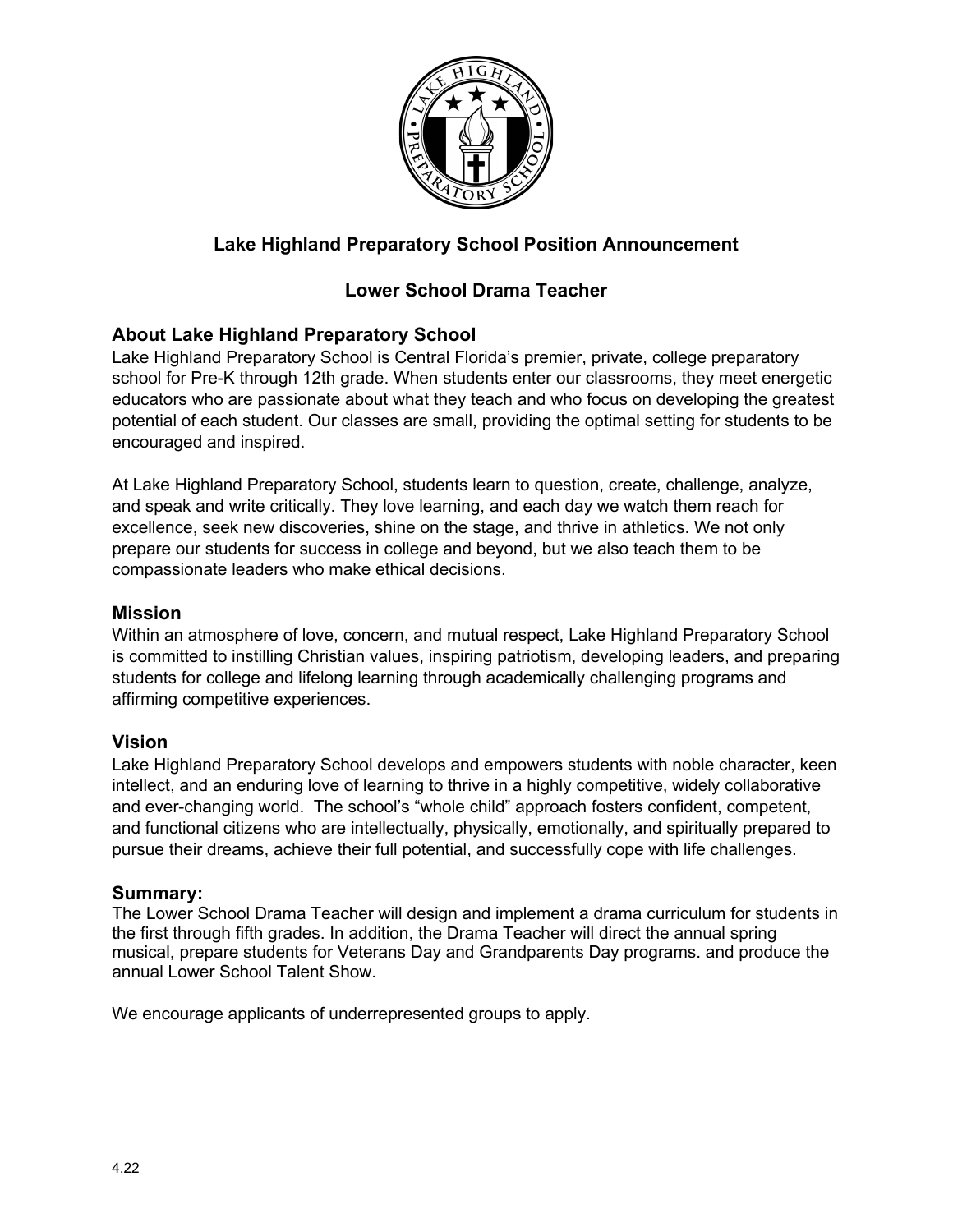

# **Lake Highland Preparatory School Position Announcement**

# **Lower School Drama Teacher**

#### **About Lake Highland Preparatory School**

Lake Highland Preparatory School is Central Florida's premier, private, college preparatory school for Pre-K through 12th grade. When students enter our classrooms, they meet energetic educators who are passionate about what they teach and who focus on developing the greatest potential of each student. Our classes are small, providing the optimal setting for students to be encouraged and inspired.

At Lake Highland Preparatory School, students learn to question, create, challenge, analyze, and speak and write critically. They love learning, and each day we watch them reach for excellence, seek new discoveries, shine on the stage, and thrive in athletics. We not only prepare our students for success in college and beyond, but we also teach them to be compassionate leaders who make ethical decisions.

#### **Mission**

Within an atmosphere of love, concern, and mutual respect, Lake Highland Preparatory School is committed to instilling Christian values, inspiring patriotism, developing leaders, and preparing students for college and lifelong learning through academically challenging programs and affirming competitive experiences.

#### **Vision**

Lake Highland Preparatory School develops and empowers students with noble character, keen intellect, and an enduring love of learning to thrive in a highly competitive, widely collaborative and ever-changing world. The school's "whole child" approach fosters confident, competent, and functional citizens who are intellectually, physically, emotionally, and spiritually prepared to pursue their dreams, achieve their full potential, and successfully cope with life challenges.

#### **Summary:**

The Lower School Drama Teacher will design and implement a drama curriculum for students in the first through fifth grades. In addition, the Drama Teacher will direct the annual spring musical, prepare students for Veterans Day and Grandparents Day programs. and produce the annual Lower School Talent Show.

We encourage applicants of underrepresented groups to apply.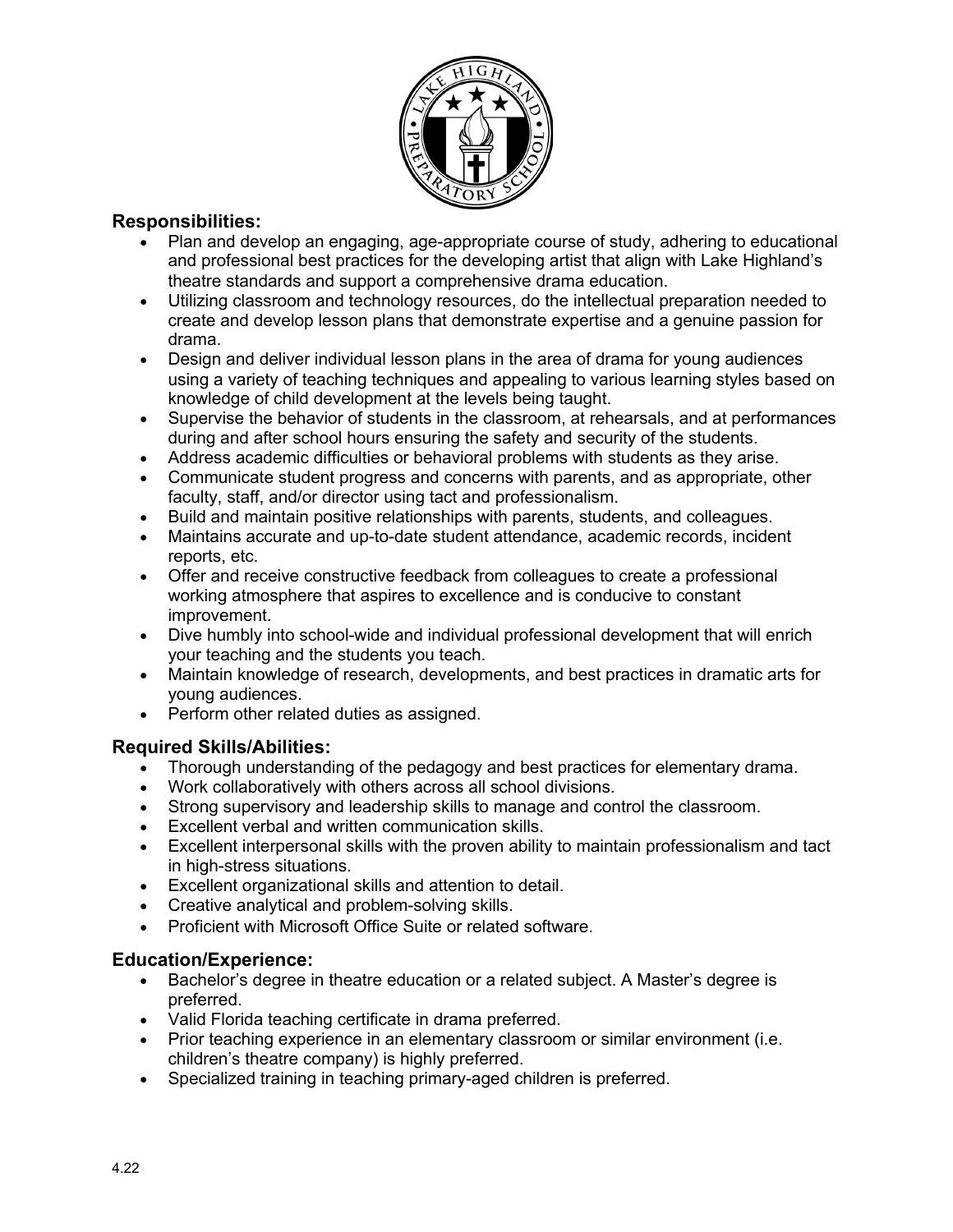

## **Responsibilities:**

- Plan and develop an engaging, age-appropriate course of study, adhering to educational and professional best practices for the developing artist that align with Lake Highland's theatre standards and support a comprehensive drama education.
- Utilizing classroom and technology resources, do the intellectual preparation needed to create and develop lesson plans that demonstrate expertise and a genuine passion for drama.
- Design and deliver individual lesson plans in the area of drama for young audiences using a variety of teaching techniques and appealing to various learning styles based on knowledge of child development at the levels being taught.
- Supervise the behavior of students in the classroom, at rehearsals, and at performances during and after school hours ensuring the safety and security of the students.
- Address academic difficulties or behavioral problems with students as they arise.
- Communicate student progress and concerns with parents, and as appropriate, other faculty, staff, and/or director using tact and professionalism.
- Build and maintain positive relationships with parents, students, and colleagues.
- Maintains accurate and up-to-date student attendance, academic records, incident reports, etc.
- Offer and receive constructive feedback from colleagues to create a professional working atmosphere that aspires to excellence and is conducive to constant improvement.
- Dive humbly into school-wide and individual professional development that will enrich your teaching and the students you teach.
- Maintain knowledge of research, developments, and best practices in dramatic arts for young audiences.
- Perform other related duties as assigned.

## **Required Skills/Abilities:**

- Thorough understanding of the pedagogy and best practices for elementary drama.
- Work collaboratively with others across all school divisions.
- Strong supervisory and leadership skills to manage and control the classroom.
- Excellent verbal and written communication skills.
- Excellent interpersonal skills with the proven ability to maintain professionalism and tact in high-stress situations.
- Excellent organizational skills and attention to detail.
- Creative analytical and problem-solving skills.
- Proficient with Microsoft Office Suite or related software.

## **Education/Experience:**

- Bachelor's degree in theatre education or a related subject. A Master's degree is preferred.
- Valid Florida teaching certificate in drama preferred.
- Prior teaching experience in an elementary classroom or similar environment (i.e. children's theatre company) is highly preferred.
- Specialized training in teaching primary-aged children is preferred.